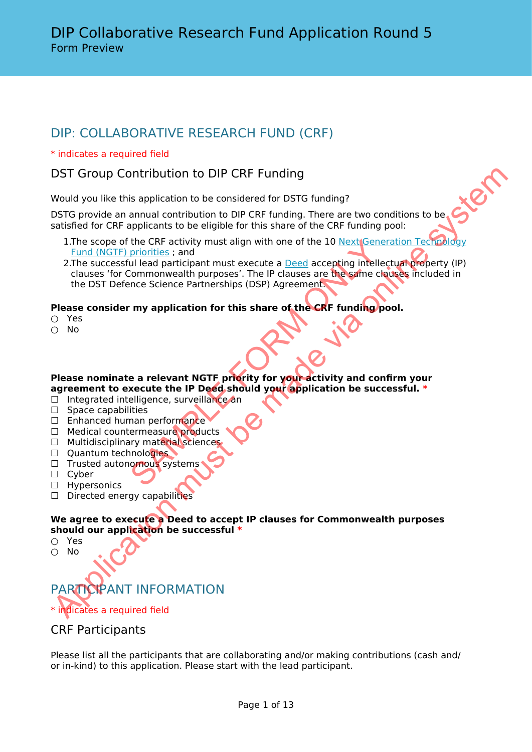## DIP: COLLABORATIVE RESEARCH FUND (CRF)

## \* indicates a required field

## DST Group Contribution to DIP CRF Funding

Would you like this application to be considered for DSTG funding?

DSTG provide an annual contribution to DIP CRF funding. There are two conditions to be satisfied for CRF applicants to be eligible for this share of the CRF funding pool:

- 1. The scope of the CRF activity must align with one of the 10 Next Generation Technology Fund (NGTF) priorities ; and
- 2. The successful lead participant must execute a Deed accepting intellectual property (IP) clauses 'for Commonwealth purposes'. The IP clauses are the same clauses included in the DST Defence Science Partnerships (DSP) Agreement. the CRF activity must align with one of the 10 Next Gene<br>
priorities ; and<br>
ull lead participant must execute a <u>Deed</u> accepting intellection<br>
monowealth purposes'. The IP clauses are the same cleared<br>
ince Science Partner DST Group Contribution to DIP CRF Funding<br>
Would you lik[e](https://www.dst.defence.gov.au/NextGenTechFund) this application to be considered for DST funding?<br>
SOST provide an annual contribution to DIP CRF funding There are two conditions to be<br>
actististed for CRF appli

## **Please consider my application for this share of the CRF funding pool.**

- Yes
- No

## **Please nominate a relevant NGTF priority for your activity and confirm your agreement to execute the IP Deed should your application be successful. \***

- □ Integrated intelligence, surveillance an
- □ Space capabilities
- □ Enhanced human performance
- □ Medical countermeasure products
- □ Multidisciplinary material sciences
- □ Quantum technologies
- □ Trusted autonomous systems
- ☐ Cyber
- ☐ Hypersonics
- □ Directed energy capabilities

## **We agree to execute a Deed to accept IP clauses for Commonwealth purposes should our application be successful \***

- Yes ○ No
- PARTICIPANT INFORMATION

dicates a required field

## CRF Participants

Please list all the participants that are collaborating and/or making contributions (cash and/ or in-kind) to this application. Please start with the lead participant.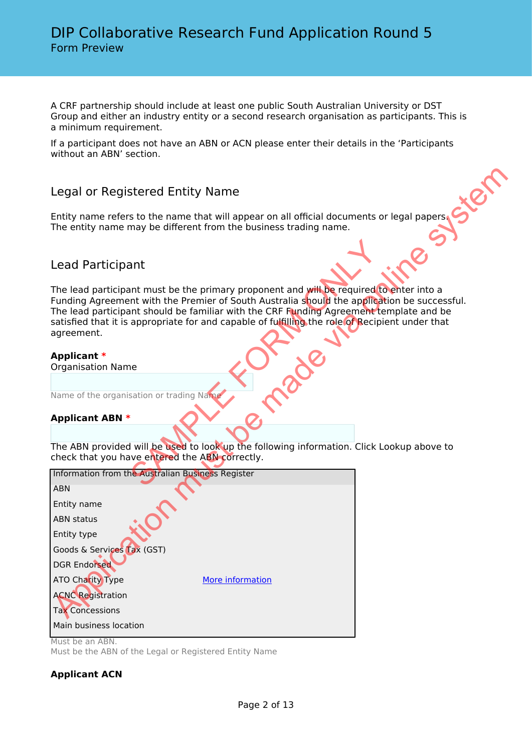A CRF partnership should include at least one public South Australian University or DST Group and either an industry entity or a second research organisation as participants. This is a minimum requirement.

If a participant does not have an ABN or ACN please enter their details in the 'Participants without an ABN' section.

## Legal or Registered Entity Name

## Lead Participant

## **Applicant ABN \***

| Legal or Registered Entity Name                                                                                                                                                                                                                                                                                                                                                                   |  |
|---------------------------------------------------------------------------------------------------------------------------------------------------------------------------------------------------------------------------------------------------------------------------------------------------------------------------------------------------------------------------------------------------|--|
| Entity name refers to the name that will appear on all official documents or legal papers.<br>The entity name may be different from the business trading name.                                                                                                                                                                                                                                    |  |
| Lead Participant                                                                                                                                                                                                                                                                                                                                                                                  |  |
|                                                                                                                                                                                                                                                                                                                                                                                                   |  |
| The lead participant must be the primary proponent and will be required to enter into a<br>Funding Agreement with the Premier of South Australia should the application be successful.<br>The lead participant should be familiar with the CRF Funding Agreement template and be<br>satisfied that it is appropriate for and capable of fulfilling the role of Recipient under that<br>agreement. |  |
| <b>Applicant *</b><br><b>Organisation Name</b>                                                                                                                                                                                                                                                                                                                                                    |  |
| Name of the organisation or trading Name                                                                                                                                                                                                                                                                                                                                                          |  |
| <b>Applicant ABN *</b>                                                                                                                                                                                                                                                                                                                                                                            |  |
|                                                                                                                                                                                                                                                                                                                                                                                                   |  |
| The ABN provided will be used to look up the following information. Click Lookup above to<br>check that you have entered the ABN correctly.                                                                                                                                                                                                                                                       |  |
| Information from the Australian Business Register                                                                                                                                                                                                                                                                                                                                                 |  |
| <b>ABN</b>                                                                                                                                                                                                                                                                                                                                                                                        |  |
| Entity name                                                                                                                                                                                                                                                                                                                                                                                       |  |
| <b>ABN</b> status                                                                                                                                                                                                                                                                                                                                                                                 |  |
| Entity type                                                                                                                                                                                                                                                                                                                                                                                       |  |
| Goods & Services Tax (GST)                                                                                                                                                                                                                                                                                                                                                                        |  |
| <b>DGR Endorsed</b>                                                                                                                                                                                                                                                                                                                                                                               |  |
| <b>ATO Charity Type</b><br>More information                                                                                                                                                                                                                                                                                                                                                       |  |
| <b>ACNC</b> Registration                                                                                                                                                                                                                                                                                                                                                                          |  |
| <b>Tax Concessions</b>                                                                                                                                                                                                                                                                                                                                                                            |  |
| Main business location                                                                                                                                                                                                                                                                                                                                                                            |  |

Must be an ABN.

Must be the ABN of the Legal or Registered Entity Name

## **Applicant ACN**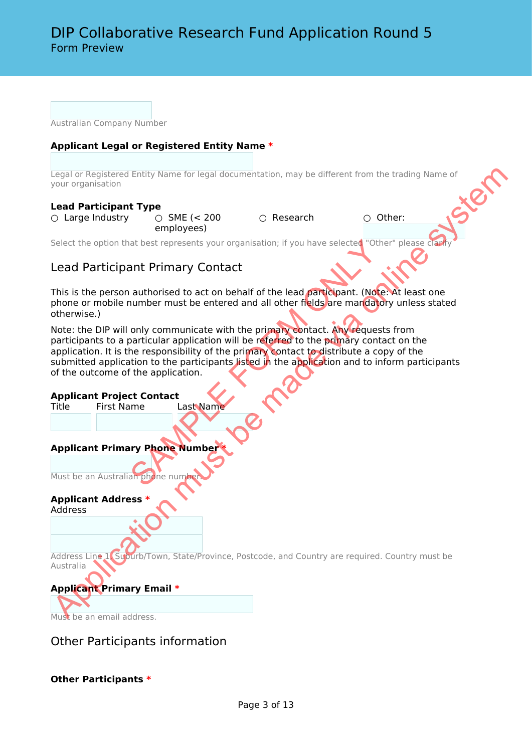Australian Company Number

## **Applicant Legal or Registered Entity Name \***

Legal or Registered Entity Name for legal documentation, may be different from the trading Name of<br>your organisation<br> **Lead Participant Type**<br>
O Large Industry your organisation

## **Lead Participant Type**

 $\circ$  Large Industry  $\circ$  SME (< 200 employees)

○ Research ○ Other:

Select the option that best represents your organisation; if you have selected "Other" please cl

## Lead Participant Primary Contact

This is the person authorised to act on behalf of the lead participant. (Note: At least one phone or mobile number must be entered and all other fields are mandatory unless stated otherwise.)

Note: the DIP will only communicate with the primary contact. Any requests from participants to a particular application will be referred to the primary contact on the application. It is the responsibility of the primary contact to distribute a copy of the submitted application to the participants listed in the application and to inform participants of the outcome of the application. The mumber of the principal control of the selected in the selected with the trimary Contact<br>
ant Primary Contact<br>
authorised to act on behalf of the lead participant. (Note<br>
umber must be entered and all other fields are Legal or Registered Entity Name for legal documentation, may be different from the trading Name of<br>
Lead Participant Type<br>
Collarge Industry<br>
Collarge Industry<br>
Collarge Industry<br>
Entity of the method control of the lead p

## **Applicant Project Contact**

Title First Name

## **Applicant Primary Phone Number**

```
Must be an Australian phone nur
```
**Applicant Address \***

Address

Address Line 1, Suburb/Town, State/Province, Postcode, and Country are required. Country must be Australia

## **Applicant Primary Email \***

Must be an email address.

## Other Participants information

## **Other Participants \***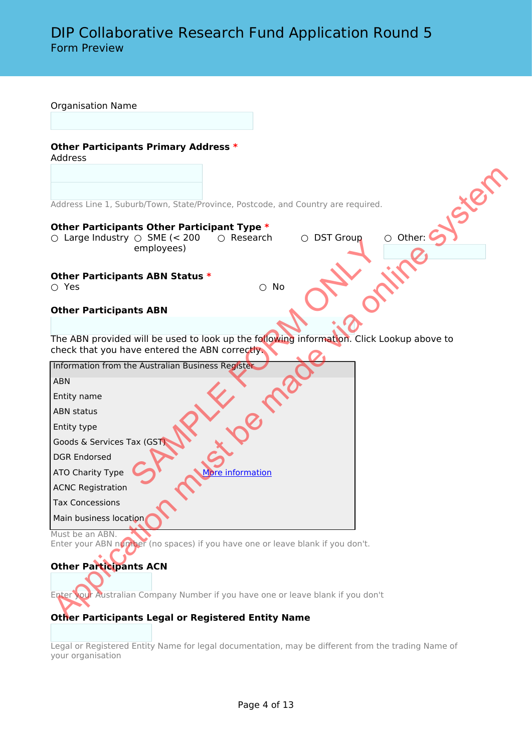Organisation Name **Other Participants Primary Address \*** Address Address Line 1, Suburb/Town, State/Province, Postcode, and Country are required.<br> **Other Participants Other Participant Type \***<br>
O Large Industry O SME (< 200 O Research<br>
Other Themployees) **Other Participants Other Participant Type \***  $\circ$  Large Industry  $\circ$  SME (< 200 employees) ○ Research ○ DST Group **Other Participants ABN Status \***  $\bigcirc$  Yes  $\bigcirc$  No **Other Participants ABN** The ABN provided will be used to look up the following information. Click Lookup above to check that you have entered the ABN correctly. Information from the Australian Business Register ABN Entity name ABN status Entity type Goods & Services Tax (GS) DGR Endorsed ATO Charity Type More information ACNC Registration Tax Concessions Main business location Must be an ABN. The ABRIST STATE OF THE CENTRAL STATE OF THE CENTRAL STATE OF THE CENTRAL STATE OF THE CENTRAL STATE OF THE AUSTRALIAN BUSINESS Register CAUST CONCRETE OF THE AUSTRAL STATE OF THE AUSTRAL STATE OF THE CAUST OF THE CAUST OF Address Line 1, Suburb/Town, State/Province, Policode, and Country are required.<br>
Other Participants Other Participant Type<br>
Concerned Conserting and Scheme of Conserting Conserting Conserting Conserting Conserting Consert

Enter your ABN number (no spaces) if you have one or leave blank if you don't.

## **Other Participants ACN**

Enter your Australian Company Number if you have one or leave blank if you don't

## **Other Participants Legal or Registered Entity Name**

Legal or Registered Entity Name for legal documentation, may be different from the trading Name of your organisation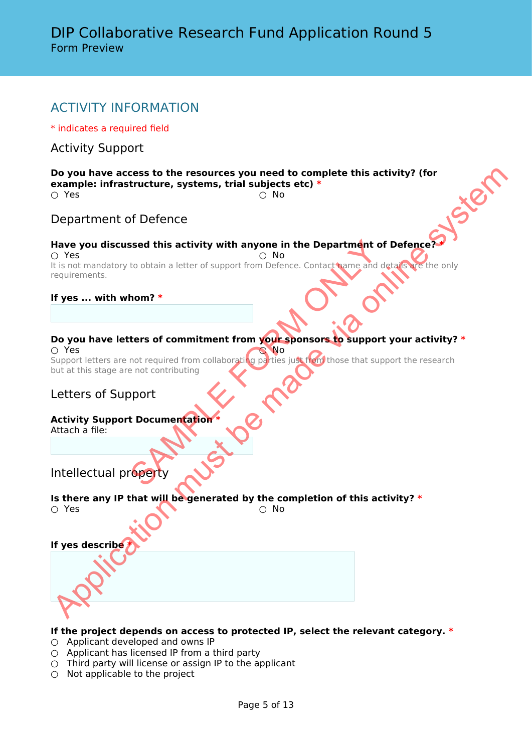## ACTIVITY INFORMATION

\* indicates a required field

## Activity Support

**Do you have access to the resources you need to complete this activity? (for example: infrastructure, systems, trial subjects etc) \***  $\bigcirc$  Yes  $\bigcirc$  No

## Department of Defence

Have you discussed this activity with anyone in the Department of Defence?  $\bigcirc$  Yes  $\bigcirc$  No It is not mandatory to obtain a letter of support from Defence. Contact hame and details are the only requirements. Seed this activity with anyone in the Department of<br>to obtain a letter of support from Defence. Contact hame and do<br>hom? \*<br>ters of commitment from your sponsors to support<br>not required from collaborating parties just if of Bo you have access to the resources you need to complete this activity? (for example: infrastructure, systems, trial subjects etc) \*<br>
O Pepartment of Defence<br>
O Yes<br>
Department of Defence<br>
The must be must be activity with

## **If yes ... with whom? \***

## **Do you have letters of commitment from your sponsors to support your activity? \*** O Yes O Wo

Support letters are not required from collaborating parties just from those that support the research but at this stage are not contributing

## Letters of Support

## **Activity Support Documentation \***

Attach a file:

Intellectual property

## **Is there any IP that will be generated by the completion of this activity? \***

○ Yes ○ No

**If yes describe** 

**If the project depends on access to protected IP, select the relevant category. \***

- Applicant developed and owns IP
- Applicant has licensed IP from a third party
- $\circ$  Third party will license or assign IP to the applicant
- $\bigcirc$  Not applicable to the project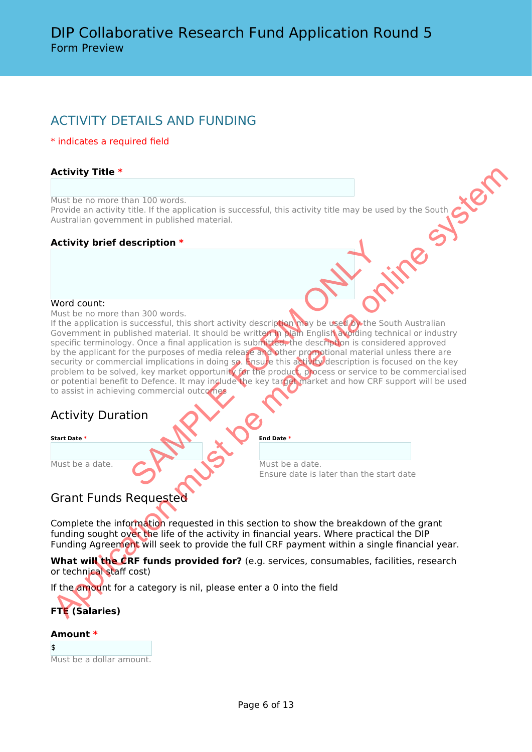## ACTIVITY DETAILS AND FUNDING

## \* indicates a required field

## **Activity Title \***

Must be no more than 100 words.

Provide an activity title. If the application is successful, this activity title may be used by the South Australian government in published material.

## **Activity brief description \***

## Word count:

Must be no more than 300 words.

If the application is successful, this short activity description may be used by the South Australian Government in published material. It should be written in plain English avoiding technical or industry specific terminology. Once a final application is submitted, the description is considered approved by the applicant for the purposes of media release and other promotional material unless there are security or commercial implications in doing so. Ensure this activity description is focused on the key problem to be solved, key market opportunity for the product, process or service to be commercialised or potential benefit to Defence. It may include the key target market and how CRF support will be used to assist in achieving commercial outcomes an 300 words.<br>
successful, this short activity description they be use the successful, this short activity description they be use the state is submitted, the SIMPLE of the purposes of media release and other proportional Activity Title \*<br>Must be no more than 100 words.<br>Through an arctivity title if the application is successful, this activity title may be used by the South Australian<br>Activity brief description \*<br>Activity brief description

## Activity Duration

**Start Date \***

Must be a date.

**End Date \***

Must be a date. Ensure date is later than the start date

## Grant Funds Requested

Complete the information requested in this section to show the breakdown of the grant funding sought over the life of the activity in financial years. Where practical the DIP Funding Agreement will seek to provide the full CRF payment within a single financial year.

**What will the CRF funds provided for?** (e.g. services, consumables, facilities, research or technical staff cost)

If the amount for a category is nil, please enter a 0 into the field

**FTE (Salaries)**

## **Amount \***

\$ Must be a dollar amount.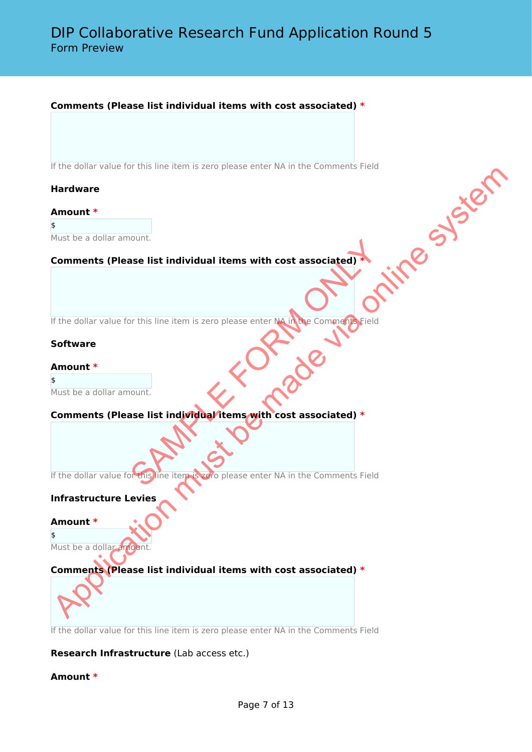## **Comments (Please list individual items with cost associated) \***

## **Hardware**

## **Amount \***

\$ Must be a dollar amount.

## If the dollar value for this line item is zero please enter NA in the Comments Field<br> **Hardware**<br> **Amount \***<br> **S**<br>
Must be a dollar amount.<br> **Comments (Please list individual item: Comments (Please list individual items with cost associated) \***

If the dollar value for this line item is zero please enter NA in the Comments Field

## **Software**

## **Amount \***

\$

Must be a dollar amount.

## **Comments (Please list individual items with cost associated) \***

If the dollar value for this line item is zero please enter NA in the Comments Field SAMPLE THE INCORPORATION OF THE INCORPORATION OF THE INCORPORATION OF THE INCORPORATION OF THE INCORPORATION OF THE INCORPORATION OF THE INCORPORATION OF THE INCORPORATION OF THE INCORPORATION OF THE INCORPORATION OF THE I Amount \*<br>Amount \*<br>Amount \* Montana adollar amount.<br>Comments (Please list individual items with cost associated)<br>Software<br>Amount \*<br>Must be a dollar amount.<br>Comments (Please list individual items with cost associated) \*<br>If t

## **Infrastructure Levies**

## **Amount \***

\$ Must be a dollar amount.

## **Comments (Please list individual items with cost associated) \***

If the dollar value for this line item is zero please enter NA in the Comments Field

## **Research Infrastructure** (Lab access etc.)

## **Amount \***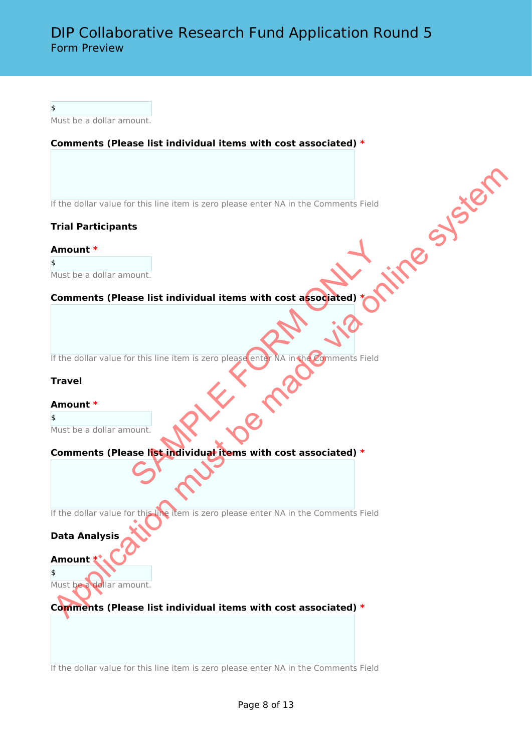\$ Must be a dollar amount.

**Comments (Please list individual items with cost associated) \***

## **Trial Participants**

## **Amount \***

\$ Must be a dollar amount.

## If the dollar value for this line item is zero please enter NA in the Comments Field<br>
Trial Participants<br>
Amount \*<br>
Shust be a dollar amount.<br>
Commer **Comments (Please list individual items with cost associated) \***

If the dollar value for this line item is zero please enter NA in the Comments Field

## **Travel**

## **Amount \***

\$

Must be a dollar amount.

## **Comments (Please list individual items with cost associated) \*** Nount.<br>
SAMPLE FORM ONLY THIS LIFE ITEM IS ZETO please (enter MA in the Comments Field<br>
SAMPLE FORM ONLY THE SAMPLE FORM ONLY THE SAMPLE COMMENTS FIELD<br>
SAMPLE THE INDIVIDUAL TERMS with cost associated) \*

If the dollar value for this line item is zero please enter NA in the Comments Field

## **Data Analysis**

**Amount \*** \$ Must be a dollar amount.

# **Comments (Please list individual items with cost associated) \*** The dollar value for this line item is zero please enter NA in the Comments Field<br>
Amount \*<br>
Amount \*<br>
Somments (Please list individual items with cost according tied<br>
Comments (Please list individual items with cost accor

If the dollar value for this line item is zero please enter NA in the Comments Field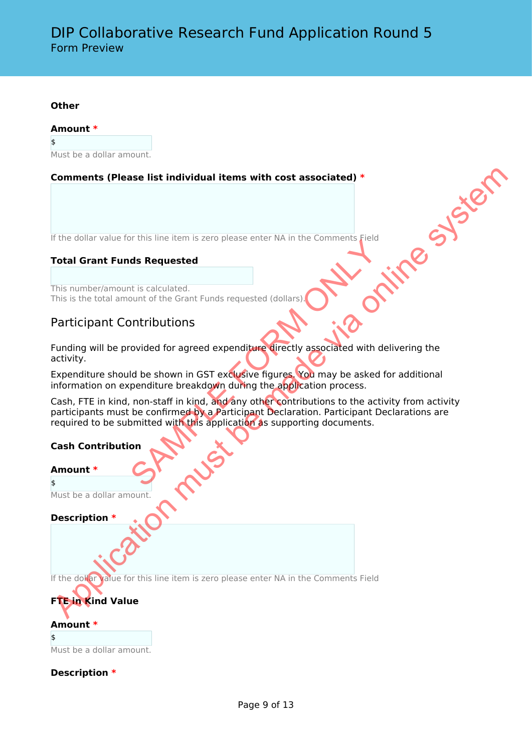## **Other**

### **Amount \***

\$ Must be a dollar amount.

## **Comments (Please list individual items with cost associated) \***

If the dollar value for this line item is zero please enter NA in the Comments Field **Afine System** 

## **Total Grant Funds Requested**

This number/amount is calculated. This is the total amount of the Grant Funds requested (dollars).

## Participant Contributions

Funding will be provided for agreed expenditure directly associated with delivering the activity.

Expenditure should be shown in GST exclusive figures. You may be asked for additional information on expenditure breakdown during the application process.

Cash, FTE in kind, non-staff in kind, and any other contributions to the activity from activity participants must be confirmed by a Participant Declaration. Participant Declarations are required to be submitted with this application as supporting documents. ds Requested<br>
In this calculated.<br>
Same heart Funds requested (dollars).<br>
Ontributions<br>
Solved for agreed expenditure directly associated with de<br>
Id be shown in GST exclusive figures.<br>
You may be asked f<br>
penditure breakd

## **Cash Contribution**

## **Amount \***

\$ Must be a dollar amount.

**Description \***

If the dollar value for this line item is zero please enter NA in the Comments Field

## **FTE in Kind Value**

## **Amount \***

\$ Must be a dollar amount.

**Description \***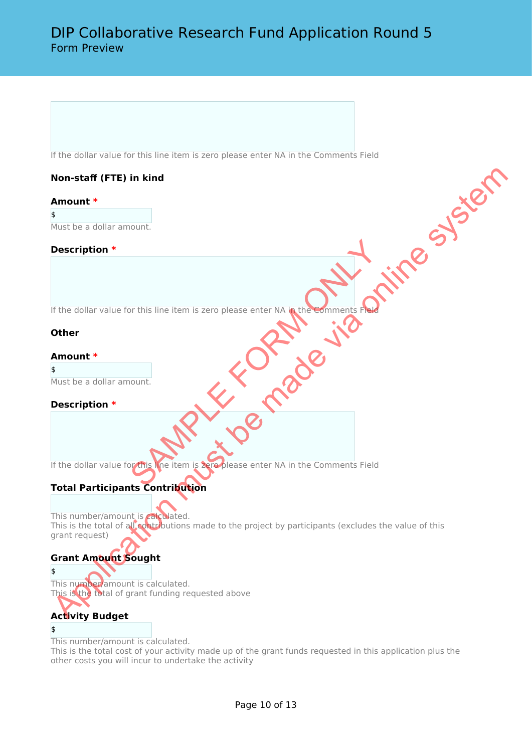If the dollar value for this line item is zero please enter NA in the Comments Field<br> **Non-staff (FTE) in kind**<br> **Amount \***<br> **S**<br>
Must be a dollar amount.<br> **Description \*** 

## **Non-staff (FTE) in kind**

## **Amount \***

\$ Must be a dollar amount.

## **Description \***

If the dollar value for this line item is zero please enter NA in the Comments Field

## **Other**

## **Amount \***

\$ Must be a dollar amount.

## **Description \***

If the dollar value for this line item is zero please enter NA in the Comments Field OF this line item is zero please enter NA in the Comments For

## **Total Participants Contribution**

This number/amount is calculated. This is the total of all contributions made to the project by participants (excludes the value of this grant request) Non-staff (FTE) in kind<br>
Amount \*<br>
Somethights be a dollar amount.<br>
Description \*<br>
The dollar value for this line item is zero please enter MA in the Comments rich<br>
the state a dollar amount<br> **Amount \***<br> **Apple to the syst** 

## **Grant Amount Sought**

\$ This number/amount is calculated. This is the total of grant funding requested above

## **Activity Budget**

## \$

This number/amount is calculated.

This is the total cost of your activity made up of the grant funds requested in this application plus the other costs you will incur to undertake the activity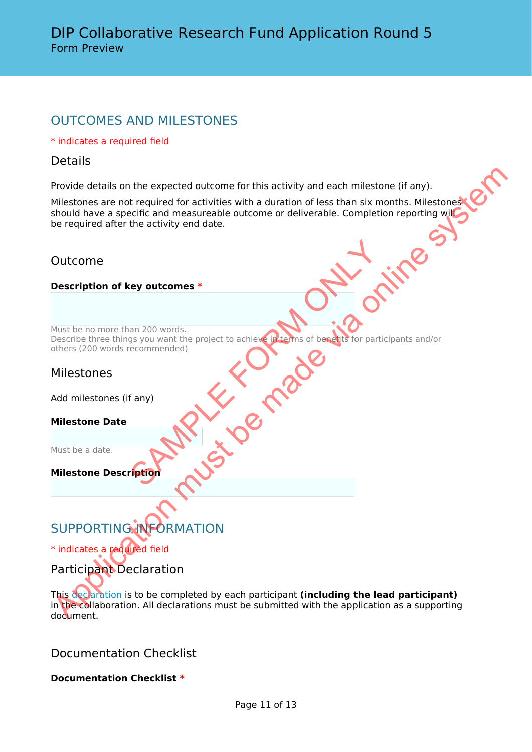## OUTCOMES AND MILESTONES

## \* indicates a required field

## **Details**

Provide details on the expected outcome for this activity and each milestone (if any).

Milestones are not required for activities with a duration of less than six months. Milestones should have a specific and measureable outcome or deliverable. Completion reporting will be required after the activity end date. Provide details on the expected outcome for this activity and each milestone (if any).<br>
Milestones are not required for activities with a duration of less than six months. Milestones<br>
be hequired after the activity end dat

## Outcome

## **Description of key outcomes \***

Must be no more than 200 words. Describe three things you want the project to achieve in terms of benefits for participants and/or others (200 words recommended) For Contribution of Development and

## Milestones

Add milestones (if any)

## **Milestone Date**

Must be a date.

## **Milestone Description**

## SUPPORTING INFORMATION

\* indicates a required field

Participant Declaration

This declaration is to be completed by each participant **(including the lead participant)** in the collaboration. All declarations must be submitted with the application as a supporting document.

## Documentation Checklist

**Documentation Checklist \***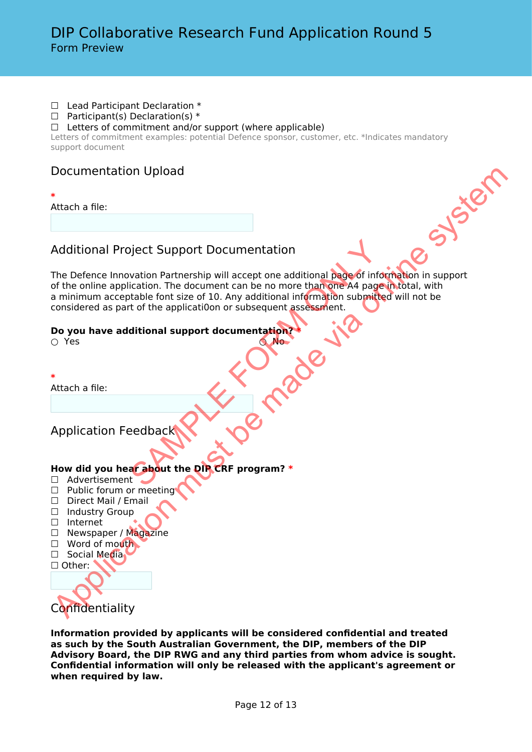- □ Lead Participant Declaration \*
- $\Box$  Participant(s) Declaration(s) \*

## $\Box$  Letters of commitment and/or support (where applicable)

Letters of commitment examples: potential Defence sponsor, customer, etc. \*Indicates mandatory support document

## Documentation Upload

**\***

Attach a file:

Additional Project Support Documentation

The Defence Innovation Partnership will accept one additional page of information in support of the online application. The document can be no more than one A4 page in total, with a minimum acceptable font size of 10. Any additional information submitted will not be considered as part of the applicati0on or subsequent assessment. piect Support Documentation<br>
vation Partnership will accept one additional page of information. The document can be no more than one A4 page<br>
table font size of 10. Any additional information subprict<br>
to the application o Social Medicine must be made via only and the matter of the matter of the matter of the matter of the matter of the matter of the matter of the matter of the matter of the matter of the matter of the matter of the matter o

## **Do you have additional support documentation?**<br>
O Yes

○ Yes ○ No

**\*** Attach a file:

Application Feedback

## **How did you hear about the DIP CRF program? \***

- □ Advertisement
- □ Public forum or meeting
- □ Direct Mail / Email
- □ Industry Group
- ☐ Internet
- □ Newspaper / Magazine
- $\Box$  Word of mouth
- □ Social Media
- ☐ Other:

## **Confidentiality**

**Information provided by applicants will be considered confidential and treated as such by the South Australian Government, the DIP, members of the DIP Advisory Board, the DIP RWG and any third parties from whom advice is sought. Confidential information will only be released with the applicant's agreement or when required by law.**